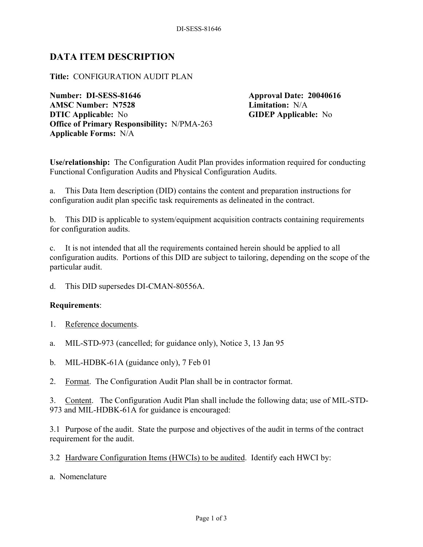## **DATA ITEM DESCRIPTION**

## **Title:** CONFIGURATION AUDIT PLAN

**Number: DI-SESS-81646 Approval Date: 20040616 AMSC Number: N7528 Limitation:** N/A **DTIC Applicable:** No **GIDEP Applicable:** No **Office of Primary Responsibility:** N/PMA-263 **Applicable Forms:** N/A

**Use/relationship:** The Configuration Audit Plan provides information required for conducting Functional Configuration Audits and Physical Configuration Audits.

a. This Data Item description (DID) contains the content and preparation instructions for configuration audit plan specific task requirements as delineated in the contract.

b. This DID is applicable to system/equipment acquisition contracts containing requirements for configuration audits.

c. It is not intended that all the requirements contained herein should be applied to all configuration audits. Portions of this DID are subject to tailoring, depending on the scope of the particular audit.

d. This DID supersedes DI-CMAN-80556A.

## **Requirements**:

- 1. Reference documents.
- a. MIL-STD-973 (cancelled; for guidance only), Notice 3, 13 Jan 95
- b. MIL-HDBK-61A (guidance only), 7 Feb 01
- 2. Format. The Configuration Audit Plan shall be in contractor format.

3. Content. The Configuration Audit Plan shall include the following data; use of MIL-STD-973 and MIL-HDBK-61A for guidance is encouraged:

3.1 Purpose of the audit. State the purpose and objectives of the audit in terms of the contract requirement for the audit.

3.2 Hardware Configuration Items (HWCIs) to be audited. Identify each HWCI by:

a. Nomenclature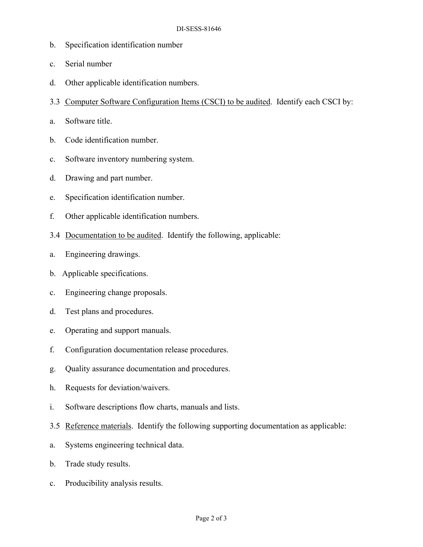- b. Specification identification number
- c. Serial number
- d. Other applicable identification numbers.
- 3.3 Computer Software Configuration Items (CSCI) to be audited. Identify each CSCI by:
- a. Software title.
- b. Code identification number.
- c. Software inventory numbering system.
- d. Drawing and part number.
- e. Specification identification number.
- f. Other applicable identification numbers.
- 3.4 Documentation to be audited. Identify the following, applicable:
- a. Engineering drawings.
- b. Applicable specifications.
- c. Engineering change proposals.
- d. Test plans and procedures.
- e. Operating and support manuals.
- f. Configuration documentation release procedures.
- g. Quality assurance documentation and procedures.
- h. Requests for deviation/waivers.
- i. Software descriptions flow charts, manuals and lists.
- 3.5 Reference materials. Identify the following supporting documentation as applicable:
- a. Systems engineering technical data.
- b. Trade study results.
- c. Producibility analysis results.